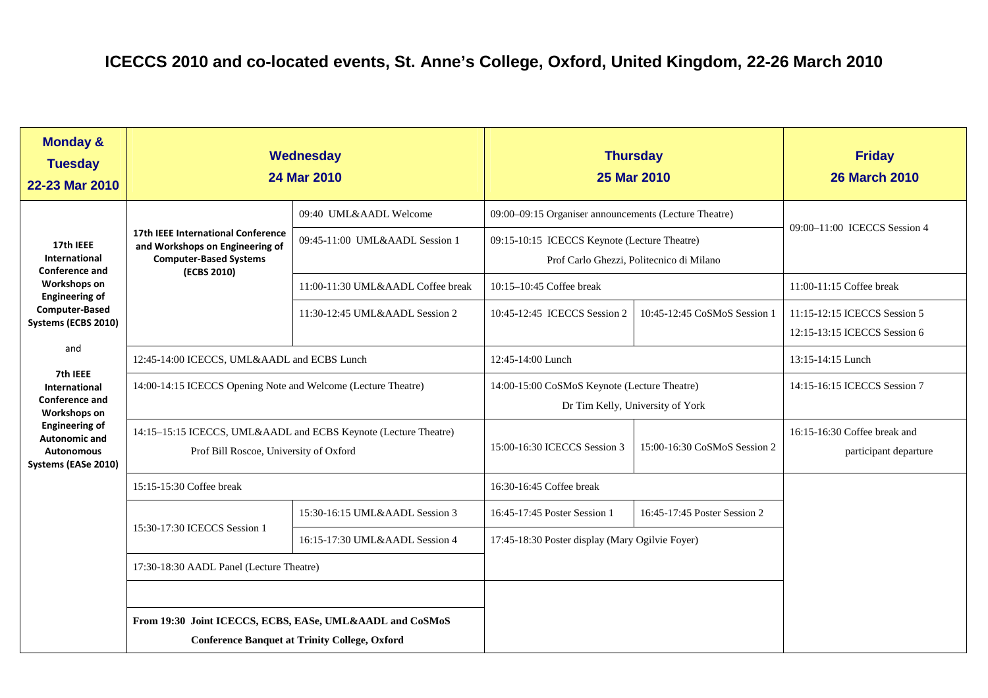| <b>Monday &amp;</b><br><b>Tuesday</b><br>22-23 Mar 2010                                                                                                                                                                                                                                                                       | Wednesday<br>24 Mar 2010                                                                                                     |                                                                     | <b>Thursday</b><br>25 Mar 2010                                                                                                                    |                              | <b>Friday</b><br><b>26 March 2010</b>                                                    |
|-------------------------------------------------------------------------------------------------------------------------------------------------------------------------------------------------------------------------------------------------------------------------------------------------------------------------------|------------------------------------------------------------------------------------------------------------------------------|---------------------------------------------------------------------|---------------------------------------------------------------------------------------------------------------------------------------------------|------------------------------|------------------------------------------------------------------------------------------|
| 17th IEEE<br>International<br><b>Conference and</b><br>Workshops on<br><b>Engineering of</b><br><b>Computer-Based</b><br>Systems (ECBS 2010)<br>and<br>7th IEEE<br><b>International</b><br><b>Conference and</b><br>Workshops on<br><b>Engineering of</b><br><b>Autonomic and</b><br><b>Autonomous</b><br>Systems (EASe 2010) | <b>17th IEEE International Conference</b><br>and Workshops on Engineering of<br><b>Computer-Based Systems</b><br>(ECBS 2010) | 09:40 UML&AADL Welcome<br>09:45-11:00 UML&AADL Session 1            | 09:00-09:15 Organiser announcements (Lecture Theatre)<br>09:15-10:15 ICECCS Keynote (Lecture Theatre)<br>Prof Carlo Ghezzi, Politecnico di Milano |                              | 09:00-11:00 ICECCS Session 4                                                             |
|                                                                                                                                                                                                                                                                                                                               |                                                                                                                              | 11:00-11:30 UML&AADL Coffee break<br>11:30-12:45 UML&AADL Session 2 | 10:15-10:45 Coffee break<br>10:45-12:45 ICECCS Session 2                                                                                          | 10:45-12:45 CoSMoS Session 1 | 11:00-11:15 Coffee break<br>11:15-12:15 ICECCS Session 5<br>12:15-13:15 ICECCS Session 6 |
|                                                                                                                                                                                                                                                                                                                               | 12:45-14:00 ICECCS, UML&AADL and ECBS Lunch<br>14:00-14:15 ICECCS Opening Note and Welcome (Lecture Theatre)                 |                                                                     | 12:45-14:00 Lunch<br>14:00-15:00 CoSMoS Keynote (Lecture Theatre)<br>Dr Tim Kelly, University of York                                             |                              | 13:15-14:15 Lunch<br>14:15-16:15 ICECCS Session 7                                        |
|                                                                                                                                                                                                                                                                                                                               | 14:15-15:15 ICECCS, UML&AADL and ECBS Keynote (Lecture Theatre)<br>Prof Bill Roscoe, University of Oxford                    |                                                                     | 15:00-16:30 ICECCS Session 3                                                                                                                      | 15:00-16:30 CoSMoS Session 2 | 16:15-16:30 Coffee break and<br>participant departure                                    |
|                                                                                                                                                                                                                                                                                                                               | 15:15-15:30 Coffee break                                                                                                     |                                                                     | 16:30-16:45 Coffee break                                                                                                                          |                              |                                                                                          |
|                                                                                                                                                                                                                                                                                                                               | 15:30-17:30 ICECCS Session 1                                                                                                 | 15:30-16:15 UML&AADL Session 3                                      | 16:45-17:45 Poster Session 1                                                                                                                      | 16:45-17:45 Poster Session 2 |                                                                                          |
|                                                                                                                                                                                                                                                                                                                               |                                                                                                                              | 16:15-17:30 UML&AADL Session 4                                      | 17:45-18:30 Poster display (Mary Ogilvie Foyer)                                                                                                   |                              |                                                                                          |
|                                                                                                                                                                                                                                                                                                                               | 17:30-18:30 AADL Panel (Lecture Theatre)                                                                                     |                                                                     |                                                                                                                                                   |                              |                                                                                          |
|                                                                                                                                                                                                                                                                                                                               | From 19:30 Joint ICECCS, ECBS, EASe, UML&AADL and CoSMoS<br><b>Conference Banquet at Trinity College, Oxford</b>             |                                                                     |                                                                                                                                                   |                              |                                                                                          |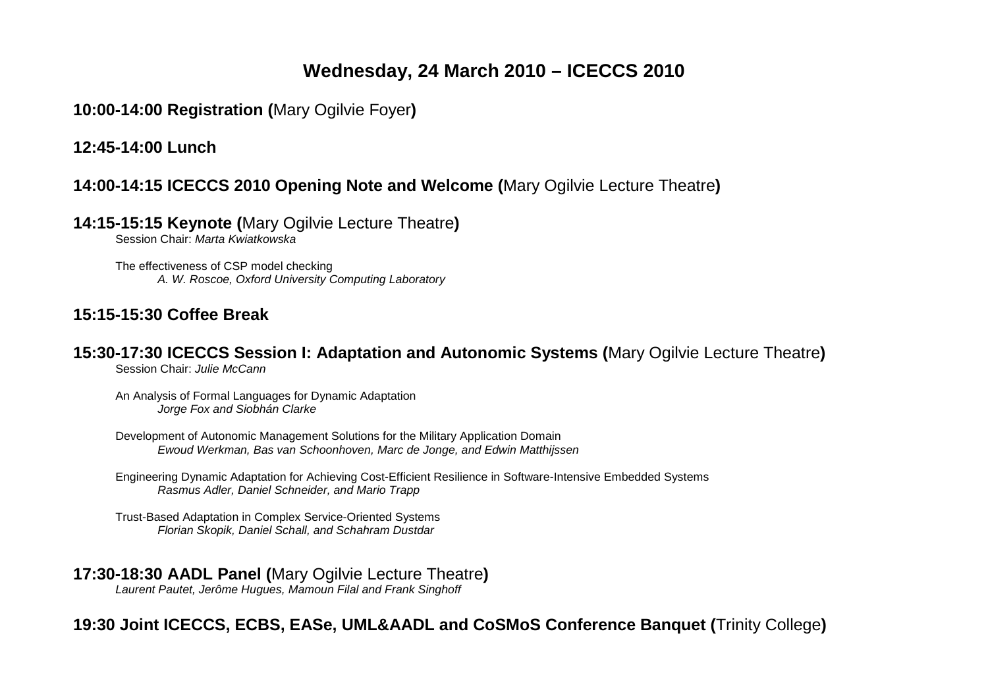# **Wednesday, 24 March 2010 – ICECCS 2010**

**10:00-14:00 Registration (**Mary Ogilvie Foyer**)** 

**12:45-14:00 Lunch** 

### **14:00-14:15 ICECCS 2010 Opening Note and Welcome (**Mary Ogilvie Lecture Theatre**)**

**14:15-15:15 Keynote (**Mary Ogilvie Lecture Theatre**)** 

Session Chair: Marta Kwiatkowska

The effectiveness of CSP model checking A. W. Roscoe, Oxford University Computing Laboratory

### **15:15-15:30 Coffee Break**

**15:30-17:30 ICECCS Session I: Adaptation and Autonomic Systems (**Mary Ogilvie Lecture Theatre**)** Session Chair: Julie McCann

An Analysis of Formal Languages for Dynamic Adaptation Jorge Fox and Siobhán Clarke

Development of Autonomic Management Solutions for the Military Application Domain Ewoud Werkman, Bas van Schoonhoven, Marc de Jonge, and Edwin Matthijssen

Engineering Dynamic Adaptation for Achieving Cost-Efficient Resilience in Software-Intensive Embedded Systems Rasmus Adler, Daniel Schneider, and Mario Trapp

Trust-Based Adaptation in Complex Service-Oriented Systems Florian Skopik, Daniel Schall, and Schahram Dustdar

#### **17:30-18:30 AADL Panel (**Mary Ogilvie Lecture Theatre**)**

Laurent Pautet, Jerôme Hugues, Mamoun Filal and Frank Singhoff

# **19:30 Joint ICECCS, ECBS, EASe, UML&AADL and CoSMoS Conference Banquet (**Trinity College**)**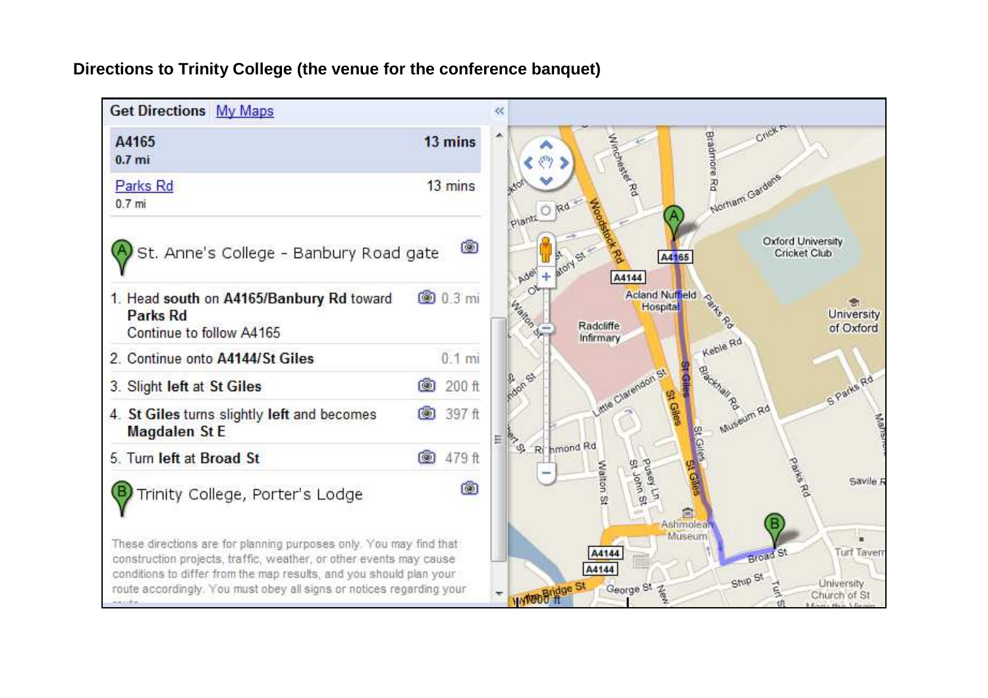### **Directions to Trinity College (the venue for the conference banquet)**

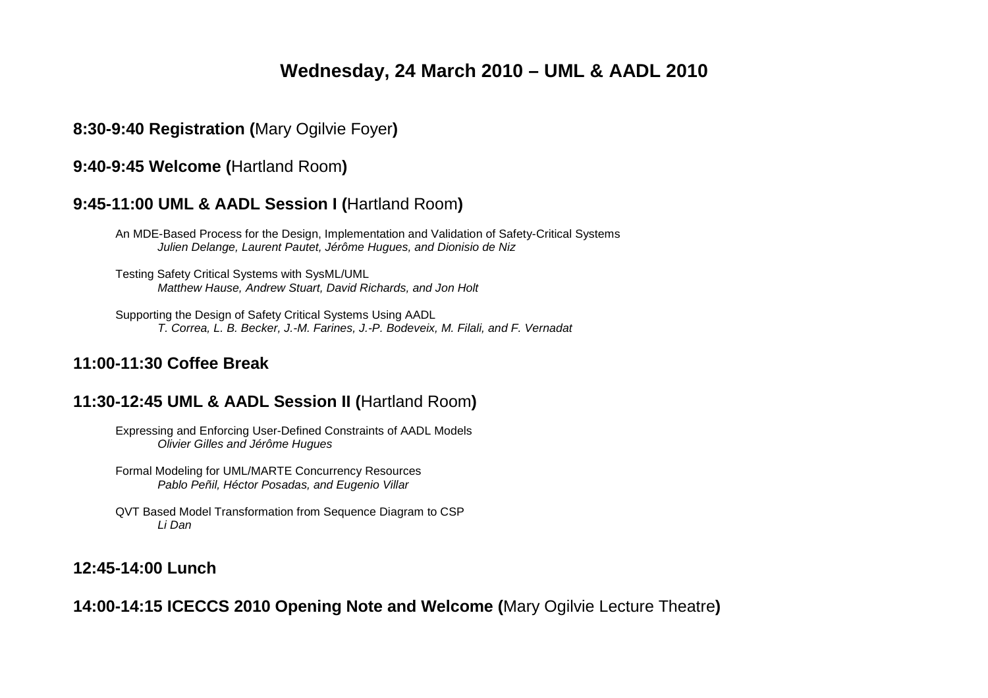# **Wednesday, 24 March 2010 – UML & AADL 2010**

### **8:30-9:40 Registration (**Mary Ogilvie Foyer**)**

#### **9:40-9:45 Welcome (**Hartland Room**)**

#### **9:45-11:00 UML & AADL Session I (**Hartland Room**)**

An MDE-Based Process for the Design, Implementation and Validation of Safety-Critical Systems Julien Delange, Laurent Pautet, Jérôme Hugues, and Dionisio de Niz

Testing Safety Critical Systems with SysML/UML Matthew Hause, Andrew Stuart, David Richards, and Jon Holt

Supporting the Design of Safety Critical Systems Using AADL T. Correa, L. B. Becker, J.-M. Farines, J.-P. Bodeveix, M. Filali, and F. Vernadat

#### **11:00-11:30 Coffee Break**

#### **11:30-12:45 UML & AADL Session II (**Hartland Room**)**

Expressing and Enforcing User-Defined Constraints of AADL Models Olivier Gilles and Jérôme Hugues

Formal Modeling for UML/MARTE Concurrency ResourcesPablo Peñil, Héctor Posadas, and Eugenio Villar

QVT Based Model Transformation from Sequence Diagram to CSP Li Dan

### **12:45-14:00 Lunch**

**14:00-14:15 ICECCS 2010 Opening Note and Welcome (**Mary Ogilvie Lecture Theatre**)**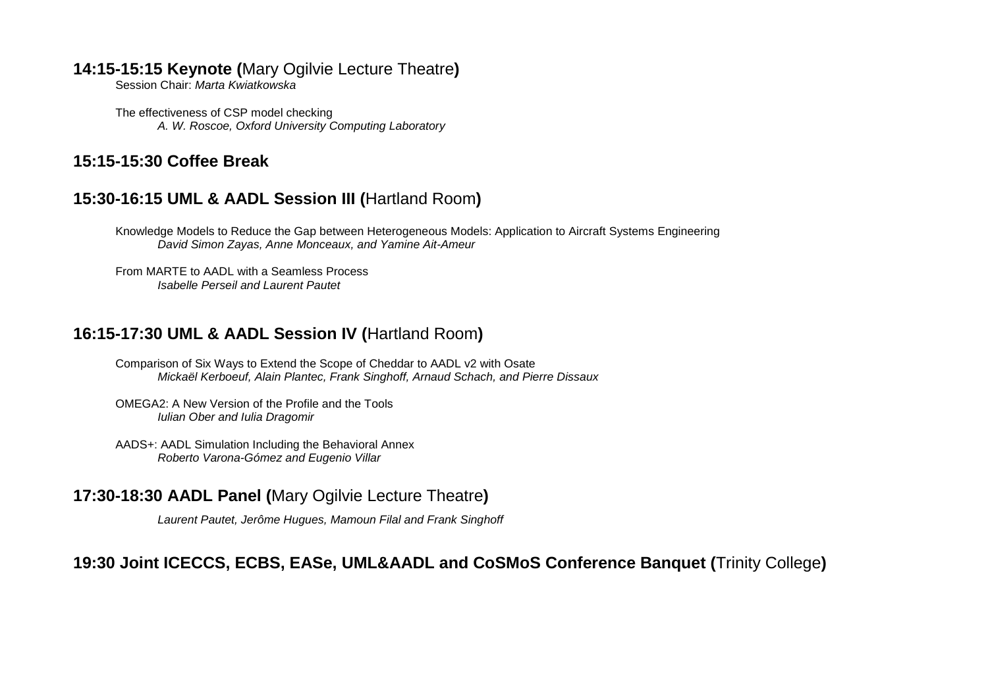#### **14:15-15:15 Keynote (**Mary Ogilvie Lecture Theatre**)**

Session Chair: Marta Kwiatkowska

The effectiveness of CSP model checking A. W. Roscoe, Oxford University Computing Laboratory

### **15:15-15:30 Coffee Break**

### **15:30-16:15 UML & AADL Session III (**Hartland Room**)**

Knowledge Models to Reduce the Gap between Heterogeneous Models: Application to Aircraft Systems Engineering David Simon Zayas, Anne Monceaux, and Yamine Ait-Ameur

From MARTE to AADL with a Seamless Process Isabelle Perseil and Laurent Pautet

### **16:15-17:30 UML & AADL Session IV (**Hartland Room**)**

- Comparison of Six Ways to Extend the Scope of Cheddar to AADL v2 with Osate Mickaël Kerboeuf, Alain Plantec, Frank Singhoff, Arnaud Schach, and Pierre Dissaux
- OMEGA2: A New Version of the Profile and the Tools Iulian Ober and Iulia Dragomir
- AADS+: AADL Simulation Including the Behavioral Annex Roberto Varona-Gómez and Eugenio Villar

### **17:30-18:30 AADL Panel (**Mary Ogilvie Lecture Theatre**)**

Laurent Pautet, Jerôme Hugues, Mamoun Filal and Frank Singhoff

### **19:30 Joint ICECCS, ECBS, EASe, UML&AADL and CoSMoS Conference Banquet (**Trinity College**)**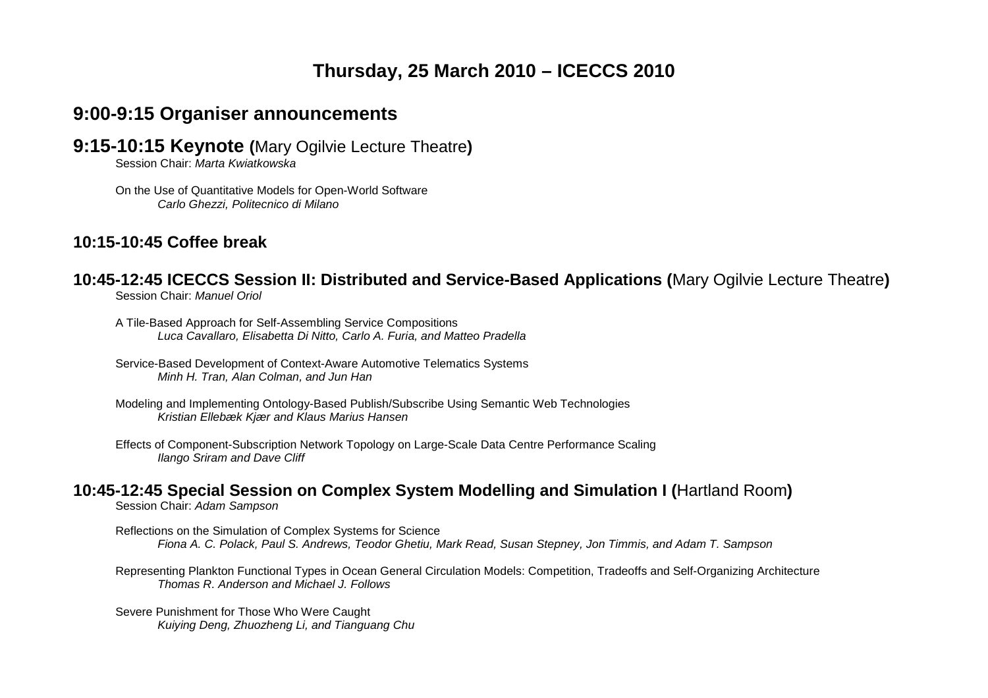# **Thursday, 25 March 2010 – ICECCS 2010**

# **9:00-9:15 Organiser announcements**

**9:15-10:15 Keynote (**Mary Ogilvie Lecture Theatre**)**

Session Chair: Marta Kwiatkowska

On the Use of Quantitative Models for Open-World Software Carlo Ghezzi, Politecnico di Milano

### **10:15-10:45 Coffee break**

# **10:45-12:45 ICECCS Session II: Distributed and Service-Based Applications (**Mary Ogilvie Lecture Theatre**)**

Session Chair: Manuel Oriol

A Tile-Based Approach for Self-Assembling Service Compositions Luca Cavallaro, Elisabetta Di Nitto, Carlo A. Furia, and Matteo Pradella

Service-Based Development of Context-Aware Automotive Telematics Systems Minh H. Tran, Alan Colman, and Jun Han

Modeling and Implementing Ontology-Based Publish/Subscribe Using Semantic Web Technologies Kristian Ellebæk Kjær and Klaus Marius Hansen

Effects of Component-Subscription Network Topology on Large-Scale Data Centre Performance Scaling Ilango Sriram and Dave Cliff

### **10:45-12:45 Special Session on Complex System Modelling and Simulation I (**Hartland Room**)**

Session Chair: Adam Sampson

Reflections on the Simulation of Complex Systems for Science Fiona A. C. Polack, Paul S. Andrews, Teodor Ghetiu, Mark Read, Susan Stepney, Jon Timmis, and Adam T. Sampson

Representing Plankton Functional Types in Ocean General Circulation Models: Competition, Tradeoffs and Self-Organizing Architecture Thomas R. Anderson and Michael J. Follows

Severe Punishment for Those Who Were Caught Kuiying Deng, Zhuozheng Li, and Tianguang Chu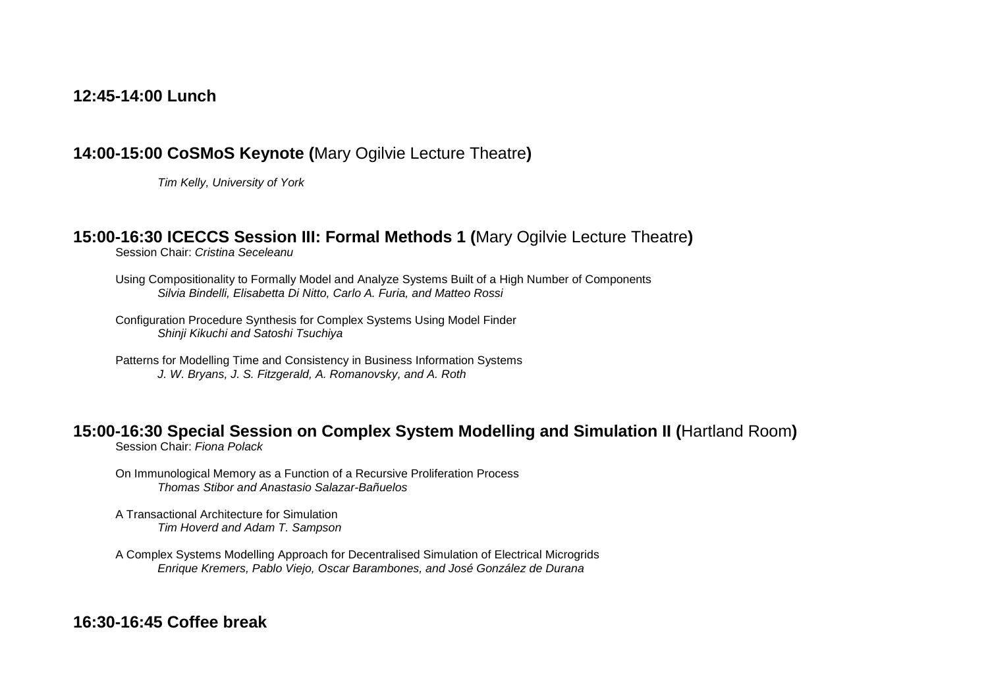#### **12:45-14:00 Lunch**

#### **14:00-15:00 CoSMoS Keynote (**Mary Ogilvie Lecture Theatre**)**

Tim Kelly, University of York

#### **15:00-16:30 ICECCS Session III: Formal Methods 1 (**Mary Ogilvie Lecture Theatre**)**

Session Chair: Cristina Seceleanu

Using Compositionality to Formally Model and Analyze Systems Built of a High Number of Components Silvia Bindelli, Elisabetta Di Nitto, Carlo A. Furia, and Matteo Rossi

Configuration Procedure Synthesis for Complex Systems Using Model Finder Shinji Kikuchi and Satoshi Tsuchiya

Patterns for Modelling Time and Consistency in Business Information Systems J. W. Bryans, J. S. Fitzgerald, A. Romanovsky, and A. Roth

#### **15:00-16:30 Special Session on Complex System Modelling and Simulation II (**Hartland Room**)**

Session Chair: Fiona Polack

On Immunological Memory as a Function of a Recursive Proliferation Process Thomas Stibor and Anastasio Salazar-Bañuelos

A Transactional Architecture for Simulation Tim Hoverd and Adam T. Sampson

A Complex Systems Modelling Approach for Decentralised Simulation of Electrical Microgrids Enrique Kremers, Pablo Viejo, Oscar Barambones, and José González de Durana

#### **16:30-16:45 Coffee break**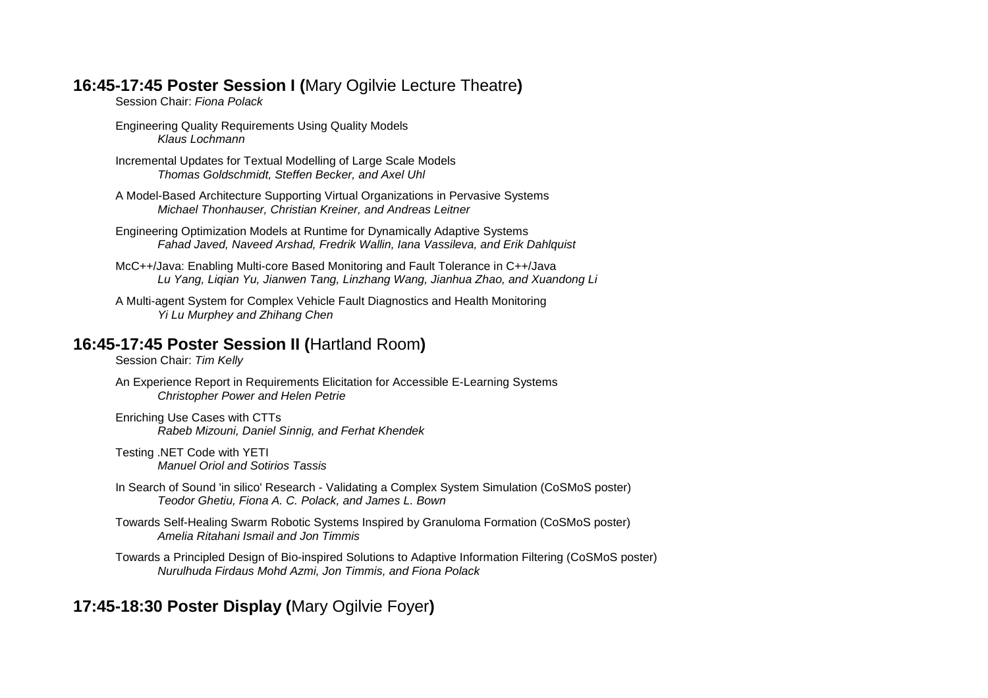### **16:45-17:45 Poster Session I (**Mary Ogilvie Lecture Theatre**)**

Session Chair: Fiona Polack

Engineering Quality Requirements Using Quality Models Klaus Lochmann

Incremental Updates for Textual Modelling of Large Scale Models Thomas Goldschmidt, Steffen Becker, and Axel Uhl

A Model-Based Architecture Supporting Virtual Organizations in Pervasive Systems Michael Thonhauser, Christian Kreiner, and Andreas Leitner

Engineering Optimization Models at Runtime for Dynamically Adaptive Systems Fahad Javed, Naveed Arshad, Fredrik Wallin, Iana Vassileva, and Erik Dahlquist

McC++/Java: Enabling Multi-core Based Monitoring and Fault Tolerance in C++/Java Lu Yang, Liqian Yu, Jianwen Tang, Linzhang Wang, Jianhua Zhao, and Xuandong Li

A Multi-agent System for Complex Vehicle Fault Diagnostics and Health Monitoring Yi Lu Murphey and Zhihang Chen

### **16:45-17:45 Poster Session II (**Hartland Room**)**

Session Chair: Tim Kelly

An Experience Report in Requirements Elicitation for Accessible E-Learning Systems Christopher Power and Helen Petrie

Enriching Use Cases with CTTs Rabeb Mizouni, Daniel Sinnig, and Ferhat Khendek

Testing .NET Code with YETI Manuel Oriol and Sotirios Tassis

In Search of Sound 'in silico' Research - Validating a Complex System Simulation (CoSMoS poster) Teodor Ghetiu, Fiona A. C. Polack, and James L. Bown

Towards Self-Healing Swarm Robotic Systems Inspired by Granuloma Formation (CoSMoS poster) Amelia Ritahani Ismail and Jon Timmis

Towards a Principled Design of Bio-inspired Solutions to Adaptive Information Filtering (CoSMoS poster) Nurulhuda Firdaus Mohd Azmi, Jon Timmis, and Fiona Polack

# **17:45-18:30 Poster Display (**Mary Ogilvie Foyer**)**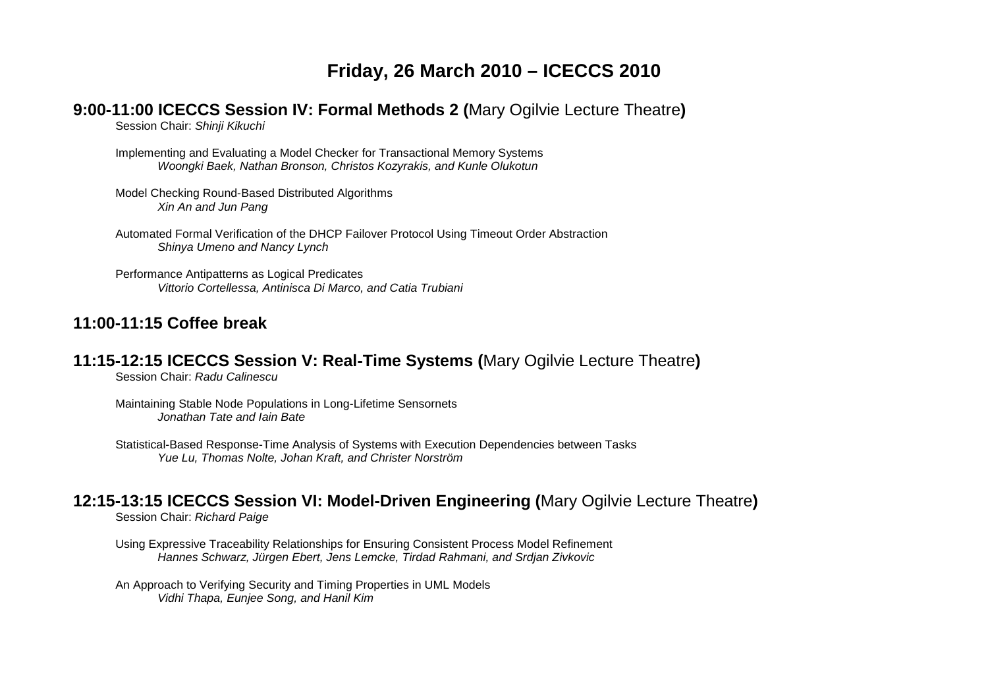# **Friday, 26 March 2010 – ICECCS 2010**

#### **9:00-11:00 ICECCS Session IV: Formal Methods 2 (**Mary Ogilvie Lecture Theatre**)**

Session Chair: Shinji Kikuchi

Implementing and Evaluating a Model Checker for Transactional Memory Systems Woongki Baek, Nathan Bronson, Christos Kozyrakis, and Kunle Olukotun

Model Checking Round-Based Distributed Algorithms Xin An and Jun Pang

Automated Formal Verification of the DHCP Failover Protocol Using Timeout Order Abstraction Shinya Umeno and Nancy Lynch

Performance Antipatterns as Logical Predicates Vittorio Cortellessa, Antinisca Di Marco, and Catia Trubiani

### **11:00-11:15 Coffee break**

#### **11:15-12:15 ICECCS Session V: Real-Time Systems (**Mary Ogilvie Lecture Theatre**)**

Session Chair: Radu Calinescu

Maintaining Stable Node Populations in Long-Lifetime Sensornets Jonathan Tate and Iain Bate

Statistical-Based Response-Time Analysis of Systems with Execution Dependencies between Tasks Yue Lu, Thomas Nolte, Johan Kraft, and Christer Norström

#### **12:15-13:15 ICECCS Session VI: Model-Driven Engineering (**Mary Ogilvie Lecture Theatre**)**

Session Chair: Richard Paige

Using Expressive Traceability Relationships for Ensuring Consistent Process Model Refinement Hannes Schwarz, Jürgen Ebert, Jens Lemcke, Tirdad Rahmani, and Srdjan Zivkovic

An Approach to Verifying Security and Timing Properties in UML Models Vidhi Thapa, Eunjee Song, and Hanil Kim